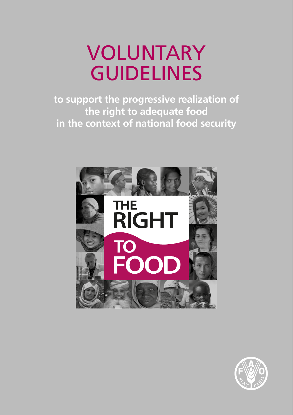# VOLUNTARY GUIDELINES

**to support the progressive realization of the right to adequate food in the context of national food security**



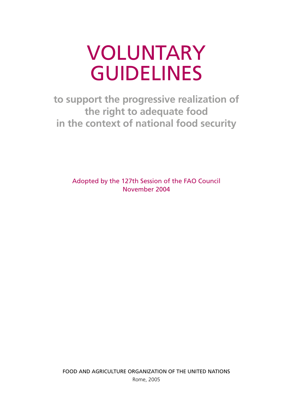## VOLUNTARY GUIDELINES

**to support the progressive realization of the right to adequate food in the context of national food security**

> Adopted by the 127th Session of the FAO Council November 2004

FOOD AND AGRICULTURE ORGANIZATION OF THE UNITED NATIONS Rome, 2005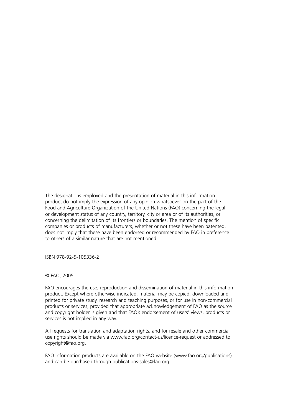The designations employed and the presentation of material in this information product do not imply the expression of any opinion whatsoever on the part of the Food and Agriculture Organization of the United Nations (FAO) concerning the legal or development status of any country, territory, city or area or of its authorities, or concerning the delimitation of its frontiers or boundaries. The mention of specific companies or products of manufacturers, whether or not these have been patented, does not imply that these have been endorsed or recommended by FAO in preference to others of a similar nature that are not mentioned.

ISBN 978-92-5-105336-2

#### © FAO, 2005

FAO encourages the use, reproduction and dissemination of material in this information product. Except where otherwise indicated, material may be copied, downloaded and printed for private study, research and teaching purposes, or for use in non-commercial products or services, provided that appropriate acknowledgement of FAO as the source and copyright holder is given and that FAO's endorsement of users' views, products or services is not implied in any way.

All requests for translation and adaptation rights, and for resale and other commercial use rights should be made via www.fao.org/contact-us/licence-request or addressed to copyright@fao.org.

FAO information products are available on the FAO website (www.fao.org/publications) and can be purchased through publications-sales@fao.org.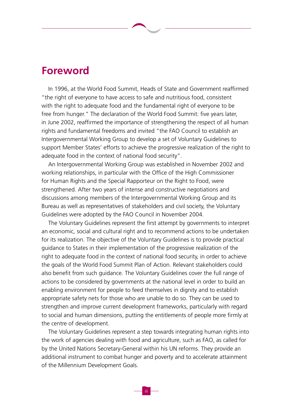### **Foreword**

In 1996, at the World Food Summit, Heads of State and Government reaffirmed "the right of everyone to have access to safe and nutritious food, consistent with the right to adequate food and the fundamental right of everyone to be free from hunger." The declaration of the World Food Summit: five years later, in June 2002, reaffirmed the importance of strengthening the respect of all human rights and fundamental freedoms and invited "the FAO Council to establish an Intergovernmental Working Group to develop a set of Voluntary Guidelines to support Member States' efforts to achieve the progressive realization of the right to adequate food in the context of national food security".

An Intergovernmental Working Group was established in November 2002 and working relationships, in particular with the Office of the High Commissioner for Human Rights and the Special Rapporteur on the Right to Food, were strengthened. After two years of intense and constructive negotiations and discussions among members of the Intergovernmental Working Group and its Bureau as well as representatives of stakeholders and civil society, the Voluntary Guidelines were adopted by the FAO Council in November 2004.

The Voluntary Guidelines represent the first attempt by governments to interpret an economic, social and cultural right and to recommend actions to be undertaken for its realization. The objective of the Voluntary Guidelines is to provide practical guidance to States in their implementation of the progressive realization of the right to adequate food in the context of national food security, in order to achieve the goals of the World Food Summit Plan of Action. Relevant stakeholders could also benefit from such guidance. The Voluntary Guidelines cover the full range of actions to be considered by governments at the national level in order to build an enabling environment for people to feed themselves in dignity and to establish appropriate safety nets for those who are unable to do so. They can be used to strengthen and improve current development frameworks, particularly with regard to social and human dimensions, putting the entitlements of people more firmly at the centre of development.

The Voluntary Guidelines represent a step towards integrating human rights into the work of agencies dealing with food and agriculture, such as FAO, as called for by the United Nations Secretary-General within his UN reforms. They provide an additional instrument to combat hunger and poverty and to accelerate attainment of the Millennium Development Goals.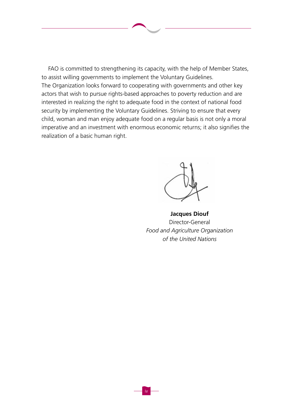FAO is committed to strengthening its capacity, with the help of Member States, to assist willing governments to implement the Voluntary Guidelines. The Organization looks forward to cooperating with governments and other key actors that wish to pursue rights-based approaches to poverty reduction and are interested in realizing the right to adequate food in the context of national food security by implementing the Voluntary Guidelines. Striving to ensure that every child, woman and man enjoy adequate food on a regular basis is not only a moral imperative and an investment with enormous economic returns; it also signifies the realization of a basic human right.



**Jacques Diouf** Director-General *Food and Agriculture Organization of the United Nations*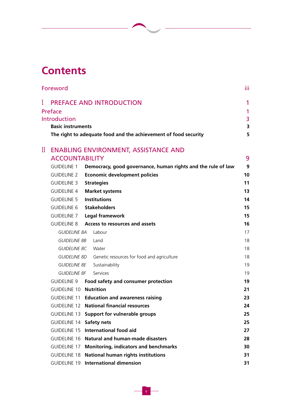## **Contents**

|   | Foreword                                    |  |                                                                 |    |  |  |
|---|---------------------------------------------|--|-----------------------------------------------------------------|----|--|--|
| I | PREFACE AND INTRODUCTION                    |  |                                                                 |    |  |  |
|   | Preface                                     |  |                                                                 |    |  |  |
|   | <b>Introduction</b>                         |  |                                                                 | 3  |  |  |
|   | <b>Basic instruments</b>                    |  |                                                                 | 3  |  |  |
|   |                                             |  | The right to adequate food and the achievement of food security | 5  |  |  |
| П | <b>ENABLING ENVIRONMENT, ASSISTANCE AND</b> |  |                                                                 |    |  |  |
|   | <b>ACCOUNTABILITY</b>                       |  |                                                                 |    |  |  |
|   | <b>GUIDELINE 1</b>                          |  | Democracy, good governance, human rights and the rule of law    | 9  |  |  |
|   | <b>GUIDELINE 2</b>                          |  | <b>Economic development policies</b>                            | 10 |  |  |
|   | <b>GUIDELINE 3</b>                          |  | <b>Strategies</b>                                               | 11 |  |  |
|   | <b>GUIDELINE 4</b>                          |  | <b>Market systems</b>                                           | 13 |  |  |
|   | <b>GUIDELINE 5</b>                          |  | <b>Institutions</b>                                             | 14 |  |  |
|   | GUIDELINE 6                                 |  | <b>Stakeholders</b>                                             | 15 |  |  |
|   | GUIDELINE 7                                 |  | Legal framework                                                 | 15 |  |  |
|   | <b>GUIDELINE 8</b>                          |  | Access to resources and assets                                  | 16 |  |  |
|   | <b>GUIDELINE 8A</b>                         |  | Labour                                                          | 17 |  |  |
|   | GUIDELINE 8B                                |  | Land                                                            | 18 |  |  |
|   | <b>GUIDELINE 8C</b>                         |  | Water                                                           | 18 |  |  |
|   |                                             |  | GUIDELINE 8D Genetic resources for food and agriculture         | 18 |  |  |
|   | <i>GUIDELINE 8E</i>                         |  | Sustainability                                                  | 19 |  |  |
|   | <i>GUIDELINE 8F</i>                         |  | Services                                                        | 19 |  |  |
|   | GUIDELINE 9                                 |  | Food safety and consumer protection                             | 19 |  |  |
|   | GUIDELINE 10 Nutrition                      |  |                                                                 | 21 |  |  |
|   |                                             |  | GUIDELINE 11 Education and awareness raising                    | 23 |  |  |
|   |                                             |  | GUIDELINE 12 National financial resources                       | 24 |  |  |
|   |                                             |  | GUIDELINE 13 Support for vulnerable groups                      | 25 |  |  |
|   | GUIDELINE 14 Safety nets                    |  |                                                                 | 25 |  |  |
|   |                                             |  | GUIDELINE 15 International food aid                             | 27 |  |  |
|   |                                             |  | GUIDELINE 16 Natural and human-made disasters                   | 28 |  |  |
|   |                                             |  | GUIDELINE 17 Monitoring, indicators and benchmarks              | 30 |  |  |
|   |                                             |  | GUIDELINE 18 National human rights institutions                 | 31 |  |  |

GUIDELINE 19 **International dimension 31**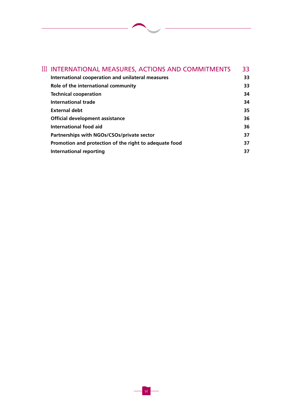| III INTERNATIONAL MEASURES, ACTIONS AND COMMITMENTS    | 33 |  |
|--------------------------------------------------------|----|--|
| International cooperation and unilateral measures      |    |  |
| Role of the international community                    | 33 |  |
| <b>Technical cooperation</b>                           | 34 |  |
| International trade                                    | 34 |  |
| External debt                                          | 35 |  |
| Official development assistance                        | 36 |  |
| International food aid                                 | 36 |  |
| Partnerships with NGOs/CSOs/private sector             | 37 |  |
| Promotion and protection of the right to adequate food | 37 |  |
| International reporting                                | 37 |  |

÷,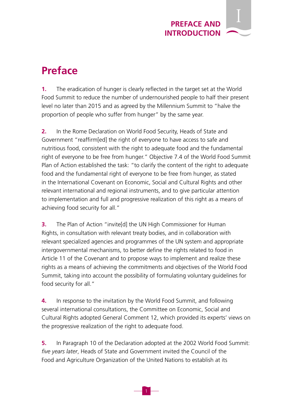

## **Preface**

**1.** The eradication of hunger is clearly reflected in the target set at the World Food Summit to reduce the number of undernourished people to half their present level no later than 2015 and as agreed by the Millennium Summit to "halve the proportion of people who suffer from hunger" by the same year.

**2.** In the Rome Declaration on World Food Security, Heads of State and Government "reaffirm[ed] the right of everyone to have access to safe and nutritious food, consistent with the right to adequate food and the fundamental right of everyone to be free from hunger." Objective 7.4 of the World Food Summit Plan of Action established the task: "to clarify the content of the right to adequate food and the fundamental right of everyone to be free from hunger, as stated in the International Covenant on Economic, Social and Cultural Rights and other relevant international and regional instruments, and to give particular attention to implementation and full and progressive realization of this right as a means of achieving food security for all."

**3.** The Plan of Action "invite[d] the UN High Commissioner for Human Rights, in consultation with relevant treaty bodies, and in collaboration with relevant specialized agencies and programmes of the UN system and appropriate intergovernmental mechanisms, to better define the rights related to food in Article 11 of the Covenant and to propose ways to implement and realize these rights as a means of achieving the commitments and objectives of the World Food Summit, taking into account the possibility of formulating voluntary guidelines for food security for all."

**4.** In response to the invitation by the World Food Summit, and following several international consultations, the Committee on Economic, Social and Cultural Rights adopted General Comment 12, which provided its experts' views on the progressive realization of the right to adequate food.

**5.** In Paragraph 10 of the Declaration adopted at the 2002 World Food Summit: *five years later*, Heads of State and Government invited the Council of the Food and Agriculture Organization of the United Nations to establish at its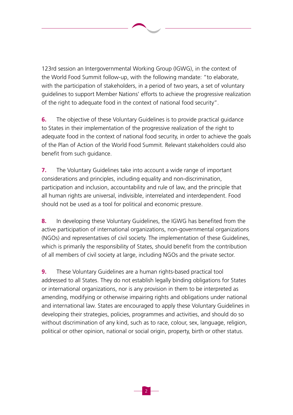123rd session an Intergovernmental Working Group (IGWG), in the context of the World Food Summit follow-up, with the following mandate: "to elaborate, with the participation of stakeholders, in a period of two years, a set of voluntary guidelines to support Member Nations' efforts to achieve the progressive realization of the right to adequate food in the context of national food security".

**6.** The objective of these Voluntary Guidelines is to provide practical guidance to States in their implementation of the progressive realization of the right to adequate food in the context of national food security, in order to achieve the goals of the Plan of Action of the World Food Summit. Relevant stakeholders could also benefit from such guidance.

**7.** The Voluntary Guidelines take into account a wide range of important considerations and principles, including equality and non-discrimination, participation and inclusion, accountability and rule of law, and the principle that all human rights are universal, indivisible, interrelated and interdependent. Food should not be used as a tool for political and economic pressure.

**8.** In developing these Voluntary Guidelines, the IGWG has benefited from the active participation of international organizations, non-governmental organizations (NGOs) and representatives of civil society. The implementation of these Guidelines, which is primarily the responsibility of States, should benefit from the contribution of all members of civil society at large, including NGOs and the private sector.

**9.** These Voluntary Guidelines are a human rights-based practical tool addressed to all States. They do not establish legally binding obligations for States or international organizations, nor is any provision in them to be interpreted as amending, modifying or otherwise impairing rights and obligations under national and international law. States are encouraged to apply these Voluntary Guidelines in developing their strategies, policies, programmes and activities, and should do so without discrimination of any kind, such as to race, colour, sex, language, religion, political or other opinion, national or social origin, property, birth or other status.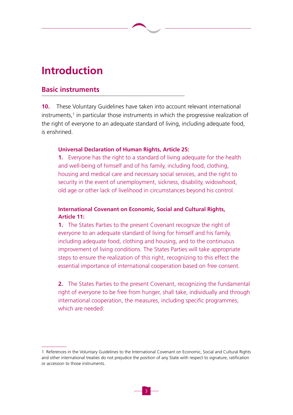## **Introduction**

#### **Basic instruments**

**10.** These Voluntary Guidelines have taken into account relevant international instruments,<sup>1</sup> in particular those instruments in which the progressive realization of the right of everyone to an adequate standard of living, including adequate food, is enshrined.

#### **Universal Declaration of Human Rights, Article 25:**

**1.** Everyone has the right to a standard of living adequate for the health and well-being of himself and of his family, including food, clothing, housing and medical care and necessary social services, and the right to security in the event of unemployment, sickness, disability, widowhood, old age or other lack of livelihood in circumstances beyond his control.

#### **International Covenant on Economic, Social and Cultural Rights, Article 11:**

**1.** The States Parties to the present Covenant recognize the right of everyone to an adequate standard of living for himself and his family, including adequate food, clothing and housing, and to the continuous improvement of living conditions. The States Parties will take appropriate steps to ensure the realization of this right, recognizing to this effect the essential importance of international cooperation based on free consent.

**2.** The States Parties to the present Covenant, recognizing the fundamental right of everyone to be free from hunger, shall take, individually and through international cooperation, the measures, including specific programmes, which are needed:

<sup>1</sup> References in the Voluntary Guidelines to the International Covenant on Economic, Social and Cultural Rights and other international treaties do not prejudice the position of any State with respect to signature, ratification or accession to those instruments.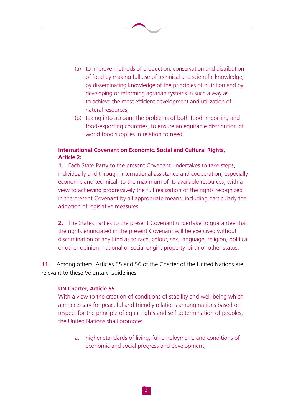- (a) to improve methods of production, conservation and distribution of food by making full use of technical and scientific knowledge, by disseminating knowledge of the principles of nutrition and by developing or reforming agrarian systems in such a way as to achieve the most efficient development and utilization of natural resources;
- (b) taking into account the problems of both food-importing and food-exporting countries, to ensure an equitable distribution of world food supplies in relation to need.

#### **International Covenant on Economic, Social and Cultural Rights, Article 2:**

**1.** Each State Party to the present Covenant undertakes to take steps, individually and through international assistance and cooperation, especially economic and technical, to the maximum of its available resources, with a view to achieving progressively the full realization of the rights recognized in the present Covenant by all appropriate means, including particularly the adoption of legislative measures.

**2.** The States Parties to the present Covenant undertake to guarantee that the rights enunciated in the present Covenant will be exercised without discrimination of any kind as to race, colour, sex, language, religion, political or other opinion, national or social origin, property, birth or other status.

**11.** Among others, Articles 55 and 56 of the Charter of the United Nations are relevant to these Voluntary Guidelines.

#### **UN Charter, Article 55**

With a view to the creation of conditions of stability and well-being which are necessary for peaceful and friendly relations among nations based on respect for the principle of equal rights and self-determination of peoples, the United Nations shall promote:

a. higher standards of living, full employment, and conditions of economic and social progress and development;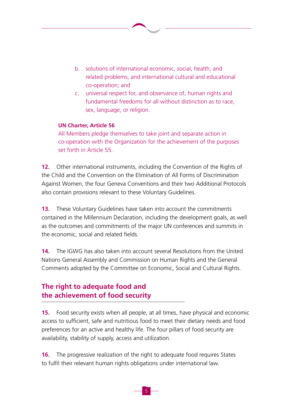- b. solutions of international economic, social, health, and related problems; and international cultural and educational co-operation; and
- c. universal respect for, and observance of, human rights and fundamental freedoms for all without distinction as to race, sex, language, or religion.

#### **UN Charter, Article 56**

All Members pledge themselves to take joint and separate action in co-operation with the Organization for the achievement of the purposes set forth in Article 55.

**12.** Other international instruments, including the Convention of the Rights of the Child and the Convention on the Elimination of All Forms of Discrimination Against Women, the four Geneva Conventions and their two Additional Protocols also contain provisions relevant to these Voluntary Guidelines.

**13.** These Voluntary Guidelines have taken into account the commitments contained in the Millennium Declaration, including the development goals, as well as the outcomes and commitments of the major UN conferences and summits in the economic, social and related fields.

**14.** The IGWG has also taken into account several Resolutions from the United Nations General Assembly and Commission on Human Rights and the General Comments adopted by the Committee on Economic, Social and Cultural Rights.

#### **The right to adequate food and the achievement of food security**

**15.** Food security exists when all people, at all times, have physical and economic access to sufficient, safe and nutritious food to meet their dietary needs and food preferences for an active and healthy life. The four pillars of food security are availability, stability of supply, access and utilization.

**16.** The progressive realization of the right to adequate food requires States to fulfil their relevant human rights obligations under international law.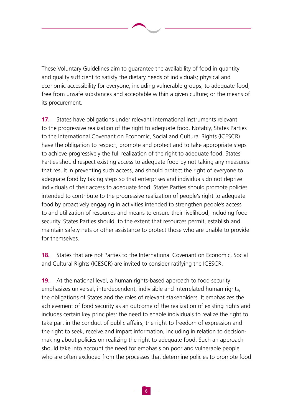These Voluntary Guidelines aim to guarantee the availability of food in quantity and quality sufficient to satisfy the dietary needs of individuals; physical and economic accessibility for everyone, including vulnerable groups, to adequate food, free from unsafe substances and acceptable within a given culture; or the means of its procurement.

**17.** States have obligations under relevant international instruments relevant to the progressive realization of the right to adequate food. Notably, States Parties to the International Covenant on Economic, Social and Cultural Rights (ICESCR) have the obligation to respect, promote and protect and to take appropriate steps to achieve progressively the full realization of the right to adequate food. States Parties should respect existing access to adequate food by not taking any measures that result in preventing such access, and should protect the right of everyone to adequate food by taking steps so that enterprises and individuals do not deprive individuals of their access to adequate food. States Parties should promote policies intended to contribute to the progressive realization of people's right to adequate food by proactively engaging in activities intended to strengthen people's access to and utilization of resources and means to ensure their livelihood, including food security. States Parties should, to the extent that resources permit, establish and maintain safety nets or other assistance to protect those who are unable to provide for themselves.

**18.** States that are not Parties to the International Covenant on Economic, Social and Cultural Rights (ICESCR) are invited to consider ratifying the ICESCR.

**19.** At the national level, a human rights-based approach to food security emphasizes universal, interdependent, indivisible and interrelated human rights, the obligations of States and the roles of relevant stakeholders. It emphasizes the achievement of food security as an outcome of the realization of existing rights and includes certain key principles: the need to enable individuals to realize the right to take part in the conduct of public affairs, the right to freedom of expression and the right to seek, receive and impart information, including in relation to decisionmaking about policies on realizing the right to adequate food. Such an approach should take into account the need for emphasis on poor and vulnerable people who are often excluded from the processes that determine policies to promote food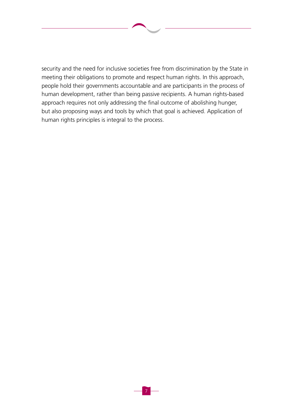security and the need for inclusive societies free from discrimination by the State in meeting their obligations to promote and respect human rights. In this approach, people hold their governments accountable and are participants in the process of human development, rather than being passive recipients. A human rights-based approach requires not only addressing the final outcome of abolishing hunger, but also proposing ways and tools by which that goal is achieved. Application of human rights principles is integral to the process.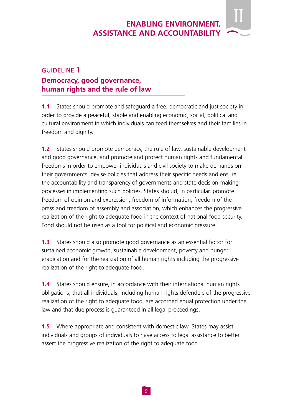## **ENABLING ENVIRONMENT, ASSISTANCE AND ACCOUNTABILITY**

#### GUIDELINE 1

#### **Democracy, good governance, human rights and the rule of law**

**1.1** States should promote and safeguard a free, democratic and just society in order to provide a peaceful, stable and enabling economic, social, political and cultural environment in which individuals can feed themselves and their families in freedom and dignity.

**1.2** States should promote democracy, the rule of law, sustainable development and good governance, and promote and protect human rights and fundamental freedoms in order to empower individuals and civil society to make demands on their governments, devise policies that address their specific needs and ensure the accountability and transparency of governments and state decision-making processes in implementing such policies. States should, in particular, promote freedom of opinion and expression, freedom of information, freedom of the press and freedom of assembly and association, which enhances the progressive realization of the right to adequate food in the context of national food security. Food should not be used as a tool for political and economic pressure.

**1.3** States should also promote good governance as an essential factor for sustained economic growth, sustainable development, poverty and hunger eradication and for the realization of all human rights including the progressive realization of the right to adequate food.

**1.4** States should ensure, in accordance with their international human rights obligations, that all individuals, including human rights defenders of the progressive realization of the right to adequate food, are accorded equal protection under the law and that due process is guaranteed in all legal proceedings.

**1.5** Where appropriate and consistent with domestic law, States may assist individuals and groups of individuals to have access to legal assistance to better assert the progressive realization of the right to adequate food.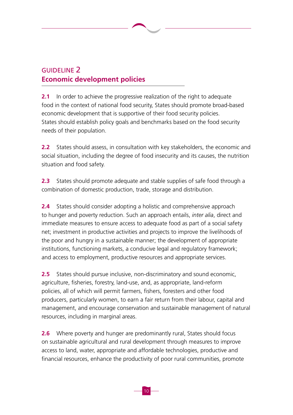#### GUIDELINE 2 **Economic development policies**

**2.1** In order to achieve the progressive realization of the right to adequate food in the context of national food security, States should promote broad-based economic development that is supportive of their food security policies. States should establish policy goals and benchmarks based on the food security needs of their population.

**2.2** States should assess, in consultation with key stakeholders, the economic and social situation, including the degree of food insecurity and its causes, the nutrition situation and food safety.

**2.3** States should promote adequate and stable supplies of safe food through a combination of domestic production, trade, storage and distribution.

**2.4** States should consider adopting a holistic and comprehensive approach to hunger and poverty reduction. Such an approach entails, *inter alia*, direct and immediate measures to ensure access to adequate food as part of a social safety net; investment in productive activities and projects to improve the livelihoods of the poor and hungry in a sustainable manner; the development of appropriate institutions, functioning markets, a conducive legal and regulatory framework; and access to employment, productive resources and appropriate services.

**2.5** States should pursue inclusive, non-discriminatory and sound economic, agriculture, fisheries, forestry, land-use, and, as appropriate, land-reform policies, all of which will permit farmers, fishers, foresters and other food producers, particularly women, to earn a fair return from their labour, capital and management, and encourage conservation and sustainable management of natural resources, including in marginal areas.

**2.6** Where poverty and hunger are predominantly rural, States should focus on sustainable agricultural and rural development through measures to improve access to land, water, appropriate and affordable technologies, productive and financial resources, enhance the productivity of poor rural communities, promote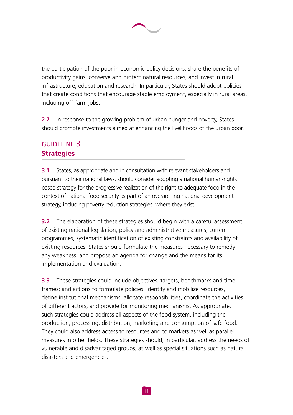the participation of the poor in economic policy decisions, share the benefits of productivity gains, conserve and protect natural resources, and invest in rural infrastructure, education and research. In particular, States should adopt policies that create conditions that encourage stable employment, especially in rural areas, including off-farm jobs.

**2.7** In response to the growing problem of urban hunger and poverty, States should promote investments aimed at enhancing the livelihoods of the urban poor.

#### GUIDELINE 3 **Strategies**

**3.1** States, as appropriate and in consultation with relevant stakeholders and pursuant to their national laws, should consider adopting a national human-rights based strategy for the progressive realization of the right to adequate food in the context of national food security as part of an overarching national development strategy, including poverty reduction strategies, where they exist.

**3.2** The elaboration of these strategies should begin with a careful assessment of existing national legislation, policy and administrative measures, current programmes, systematic identification of existing constraints and availability of existing resources. States should formulate the measures necessary to remedy any weakness, and propose an agenda for change and the means for its implementation and evaluation.

**3.3** These strategies could include objectives, targets, benchmarks and time frames; and actions to formulate policies, identify and mobilize resources, define institutional mechanisms, allocate responsibilities, coordinate the activities of different actors, and provide for monitoring mechanisms. As appropriate, such strategies could address all aspects of the food system, including the production, processing, distribution, marketing and consumption of safe food. They could also address access to resources and to markets as well as parallel measures in other fields. These strategies should, in particular, address the needs of vulnerable and disadvantaged groups, as well as special situations such as natural disasters and emergencies.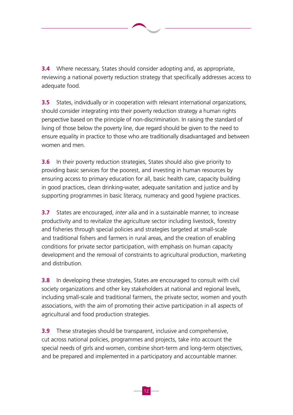**3.4** Where necessary, States should consider adopting and, as appropriate, reviewing a national poverty reduction strategy that specifically addresses access to adequate food.

**3.5** States, individually or in cooperation with relevant international organizations, should consider integrating into their poverty reduction strategy a human rights perspective based on the principle of non-discrimination. In raising the standard of living of those below the poverty line, due regard should be given to the need to ensure equality in practice to those who are traditionally disadvantaged and between women and men.

**3.6** In their poverty reduction strategies, States should also give priority to providing basic services for the poorest, and investing in human resources by ensuring access to primary education for all, basic health care, capacity building in good practices, clean drinking-water, adequate sanitation and justice and by supporting programmes in basic literacy, numeracy and good hygiene practices.

**3.7** States are encouraged, *inter alia* and in a sustainable manner, to increase productivity and to revitalize the agriculture sector including livestock, forestry and fisheries through special policies and strategies targeted at small-scale and traditional fishers and farmers in rural areas, and the creation of enabling conditions for private sector participation, with emphasis on human capacity development and the removal of constraints to agricultural production, marketing and distribution.

**3.8** In developing these strategies, States are encouraged to consult with civil society organizations and other key stakeholders at national and regional levels, including small-scale and traditional farmers, the private sector, women and youth associations, with the aim of promoting their active participation in all aspects of agricultural and food production strategies.

**3.9** These strategies should be transparent, inclusive and comprehensive, cut across national policies, programmes and projects, take into account the special needs of girls and women, combine short-term and long-term objectives, and be prepared and implemented in a participatory and accountable manner.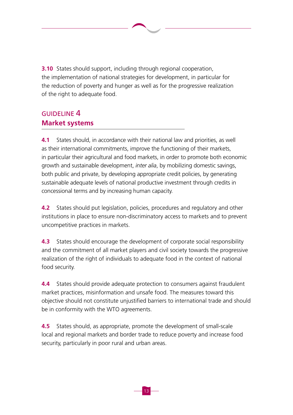**3.10** States should support, including through regional cooperation, the implementation of national strategies for development, in particular for the reduction of poverty and hunger as well as for the progressive realization of the right to adequate food.

#### GUIDELINE 4 **Market systems**

**4.1** States should, in accordance with their national law and priorities, as well as their international commitments, improve the functioning of their markets, in particular their agricultural and food markets, in order to promote both economic growth and sustainable development, *inter alia*, by mobilizing domestic savings, both public and private, by developing appropriate credit policies, by generating sustainable adequate levels of national productive investment through credits in concessional terms and by increasing human capacity.

**4.2** States should put legislation, policies, procedures and regulatory and other institutions in place to ensure non-discriminatory access to markets and to prevent uncompetitive practices in markets.

**4.3** States should encourage the development of corporate social responsibility and the commitment of all market players and civil society towards the progressive realization of the right of individuals to adequate food in the context of national food security.

**4.4** States should provide adequate protection to consumers against fraudulent market practices, misinformation and unsafe food. The measures toward this objective should not constitute unjustified barriers to international trade and should be in conformity with the WTO agreements.

**4.5** States should, as appropriate, promote the development of small-scale local and regional markets and border trade to reduce poverty and increase food security, particularly in poor rural and urban areas.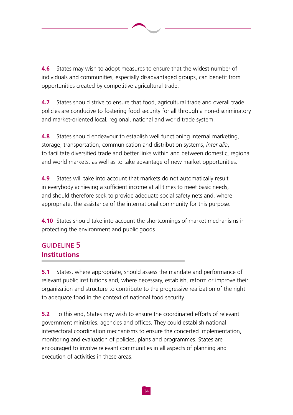

**4.6** States may wish to adopt measures to ensure that the widest number of individuals and communities, especially disadvantaged groups, can benefit from opportunities created by competitive agricultural trade.

**4.7** States should strive to ensure that food, agricultural trade and overall trade policies are conducive to fostering food security for all through a non-discriminatory and market-oriented local, regional, national and world trade system.

**4.8** States should endeavour to establish well functioning internal marketing, storage, transportation, communication and distribution systems, *inter alia*, to facilitate diversified trade and better links within and between domestic, regional and world markets, as well as to take advantage of new market opportunities.

**4.9** States will take into account that markets do not automatically result in everybody achieving a sufficient income at all times to meet basic needs, and should therefore seek to provide adequate social safety nets and, where appropriate, the assistance of the international community for this purpose.

**4.10** States should take into account the shortcomings of market mechanisms in protecting the environment and public goods.

#### GUIDELINE 5 **Institutions**

**5.1** States, where appropriate, should assess the mandate and performance of relevant public institutions and, where necessary, establish, reform or improve their organization and structure to contribute to the progressive realization of the right to adequate food in the context of national food security.

**5.2** To this end, States may wish to ensure the coordinated efforts of relevant government ministries, agencies and offices. They could establish national intersectoral coordination mechanisms to ensure the concerted implementation, monitoring and evaluation of policies, plans and programmes. States are encouraged to involve relevant communities in all aspects of planning and execution of activities in these areas.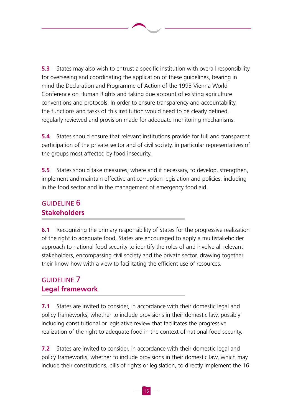**5.3** States may also wish to entrust a specific institution with overall responsibility for overseeing and coordinating the application of these guidelines, bearing in mind the Declaration and Programme of Action of the 1993 Vienna World Conference on Human Rights and taking due account of existing agriculture conventions and protocols. In order to ensure transparency and accountability, the functions and tasks of this institution would need to be clearly defined, regularly reviewed and provision made for adequate monitoring mechanisms.

**5.4** States should ensure that relevant institutions provide for full and transparent participation of the private sector and of civil society, in particular representatives of the groups most affected by food insecurity.

**5.5** States should take measures, where and if necessary, to develop, strengthen, implement and maintain effective anticorruption legislation and policies, including in the food sector and in the management of emergency food aid.

#### GUIDELINE 6 **Stakeholders**

**6.1** Recognizing the primary responsibility of States for the progressive realization of the right to adequate food, States are encouraged to apply a multistakeholder approach to national food security to identify the roles of and involve all relevant stakeholders, encompassing civil society and the private sector, drawing together their know-how with a view to facilitating the efficient use of resources.

#### GUIDELINE 7 **Legal framework**

**7.1** States are invited to consider, in accordance with their domestic legal and policy frameworks, whether to include provisions in their domestic law, possibly including constitutional or legislative review that facilitates the progressive realization of the right to adequate food in the context of national food security.

**7.2** States are invited to consider, in accordance with their domestic legal and policy frameworks, whether to include provisions in their domestic law, which may include their constitutions, bills of rights or legislation, to directly implement the 16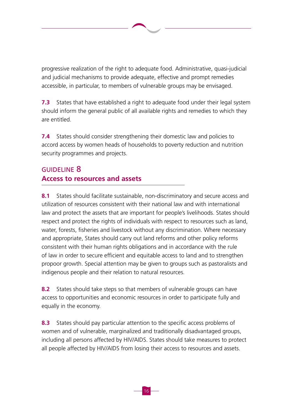progressive realization of the right to adequate food. Administrative, quasi-judicial and judicial mechanisms to provide adequate, effective and prompt remedies accessible, in particular, to members of vulnerable groups may be envisaged.

**7.3** States that have established a right to adequate food under their legal system should inform the general public of all available rights and remedies to which they are entitled.

**7.4** States should consider strengthening their domestic law and policies to accord access by women heads of households to poverty reduction and nutrition security programmes and projects.

#### **GUIDELINE 8 Access to resources and assets**

**8.1** States should facilitate sustainable, non-discriminatory and secure access and utilization of resources consistent with their national law and with international law and protect the assets that are important for people's livelihoods. States should respect and protect the rights of individuals with respect to resources such as land, water, forests, fisheries and livestock without any discrimination. Where necessary and appropriate, States should carry out land reforms and other policy reforms consistent with their human rights obligations and in accordance with the rule of law in order to secure efficient and equitable access to land and to strengthen propoor growth. Special attention may be given to groups such as pastoralists and indigenous people and their relation to natural resources.

**8.2** States should take steps so that members of vulnerable groups can have access to opportunities and economic resources in order to participate fully and equally in the economy.

**8.3** States should pay particular attention to the specific access problems of women and of vulnerable, marginalized and traditionally disadvantaged groups, including all persons affected by HIV/AIDS. States should take measures to protect all people affected by HIV/AIDS from losing their access to resources and assets.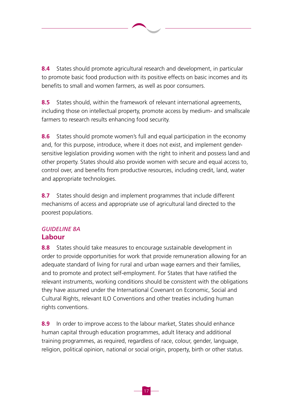**8.4** States should promote agricultural research and development, in particular to promote basic food production with its positive effects on basic incomes and its benefits to small and women farmers, as well as poor consumers.

**8.5** States should, within the framework of relevant international agreements, including those on intellectual property, promote access by medium- and smallscale farmers to research results enhancing food security.

**8.6** States should promote women's full and equal participation in the economy and, for this purpose, introduce, where it does not exist, and implement gendersensitive legislation providing women with the right to inherit and possess land and other property. States should also provide women with secure and equal access to, control over, and benefits from productive resources, including credit, land, water and appropriate technologies.

**8.7** States should design and implement programmes that include different mechanisms of access and appropriate use of agricultural land directed to the poorest populations.

#### *GUIDELINE 8A* **Labour**

**8.8** States should take measures to encourage sustainable development in order to provide opportunities for work that provide remuneration allowing for an adequate standard of living for rural and urban wage earners and their families, and to promote and protect self-employment. For States that have ratified the relevant instruments, working conditions should be consistent with the obligations they have assumed under the International Covenant on Economic, Social and Cultural Rights, relevant ILO Conventions and other treaties including human rights conventions.

**8.9** In order to improve access to the labour market, States should enhance human capital through education programmes, adult literacy and additional training programmes, as required, regardless of race, colour, gender, language, religion, political opinion, national or social origin, property, birth or other status.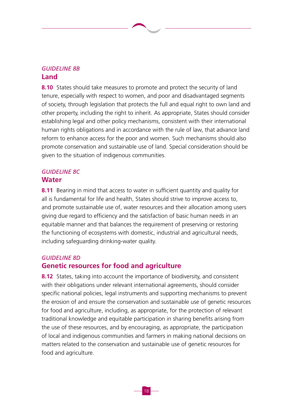#### *GUIDELINE 8B* **Land**

**8.10** States should take measures to promote and protect the security of land tenure, especially with respect to women, and poor and disadvantaged segments of society, through legislation that protects the full and equal right to own land and other property, including the right to inherit. As appropriate, States should consider establishing legal and other policy mechanisms, consistent with their international human rights obligations and in accordance with the rule of law, that advance land reform to enhance access for the poor and women. Such mechanisms should also promote conservation and sustainable use of land. Special consideration should be given to the situation of indigenous communities.

#### *GUIDELINE 8C* **Water**

**8.11** Bearing in mind that access to water in sufficient quantity and quality for all is fundamental for life and health, States should strive to improve access to, and promote sustainable use of, water resources and their allocation among users giving due regard to efficiency and the satisfaction of basic human needs in an equitable manner and that balances the requirement of preserving or restoring the functioning of ecosystems with domestic, industrial and agricultural needs, including safeguarding drinking-water quality.

#### *GUIDELINE 8D*

#### **Genetic resources for food and agriculture**

**8.12** States, taking into account the importance of biodiversity, and consistent with their obligations under relevant international agreements, should consider specific national policies, legal instruments and supporting mechanisms to prevent the erosion of and ensure the conservation and sustainable use of genetic resources for food and agriculture, including, as appropriate, for the protection of relevant traditional knowledge and equitable participation in sharing benefits arising from the use of these resources, and by encouraging, as appropriate, the participation of local and indigenous communities and farmers in making national decisions on matters related to the conservation and sustainable use of genetic resources for food and agriculture.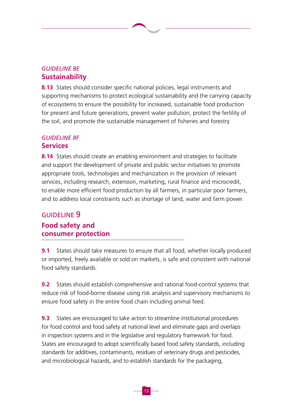#### *GUIDELINE 8E* **Sustainability**

**8.13** States should consider specific national policies, legal instruments and supporting mechanisms to protect ecological sustainability and the carrying capacity of ecosystems to ensure the possibility for increased, sustainable food production for present and future generations, prevent water pollution, protect the fertility of the soil, and promote the sustainable management of fisheries and forestry.

### *GUIDELINE 8F*

#### **Services**

**8.14** States should create an enabling environment and strategies to facilitate and support the development of private and public sector initiatives to promote appropriate tools, technologies and mechanization in the provision of relevant services, including research, extension, marketing, rural finance and microcredit, to enable more efficient food production by all farmers, in particular poor farmers, and to address local constraints such as shortage of land, water and farm power.

#### GUIDELINE 9 **Food safety and consumer protection**

**9.1** States should take measures to ensure that all food, whether locally produced or imported, freely available or sold on markets, is safe and consistent with national food safety standards.

**9.2** States should establish comprehensive and rational food-control systems that reduce risk of food-borne disease using risk analysis and supervisory mechanisms to ensure food safety in the entire food chain including animal feed.

**9.3** States are encouraged to take action to streamline institutional procedures for food control and food safety at national level and eliminate gaps and overlaps in inspection systems and in the legislative and regulatory framework for food. States are encouraged to adopt scientifically based food safety standards, including standards for additives, contaminants, residues of veterinary drugs and pesticides, and microbiological hazards, and to establish standards for the packaging,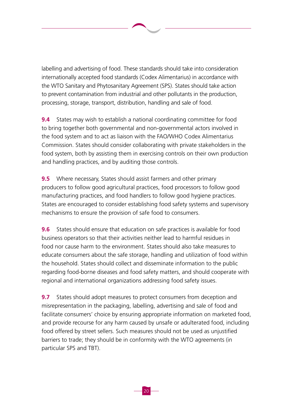labelling and advertising of food. These standards should take into consideration internationally accepted food standards (Codex Alimentarius) in accordance with the WTO Sanitary and Phytosanitary Agreement (SPS). States should take action to prevent contamination from industrial and other pollutants in the production, processing, storage, transport, distribution, handling and sale of food.

**9.4** States may wish to establish a national coordinating committee for food to bring together both governmental and non-governmental actors involved in the food system and to act as liaison with the FAO/WHO Codex Alimentarius Commission. States should consider collaborating with private stakeholders in the food system, both by assisting them in exercising controls on their own production and handling practices, and by auditing those controls.

**9.5** Where necessary, States should assist farmers and other primary producers to follow good agricultural practices, food processors to follow good manufacturing practices, and food handlers to follow good hygiene practices. States are encouraged to consider establishing food safety systems and supervisory mechanisms to ensure the provision of safe food to consumers.

**9.6** States should ensure that education on safe practices is available for food business operators so that their activities neither lead to harmful residues in food nor cause harm to the environment. States should also take measures to educate consumers about the safe storage, handling and utilization of food within the household. States should collect and disseminate information to the public regarding food-borne diseases and food safety matters, and should cooperate with regional and international organizations addressing food safety issues.

**9.7** States should adopt measures to protect consumers from deception and misrepresentation in the packaging, labelling, advertising and sale of food and facilitate consumers' choice by ensuring appropriate information on marketed food, and provide recourse for any harm caused by unsafe or adulterated food, including food offered by street sellers. Such measures should not be used as unjustified barriers to trade; they should be in conformity with the WTO agreements (in particular SPS and TBT).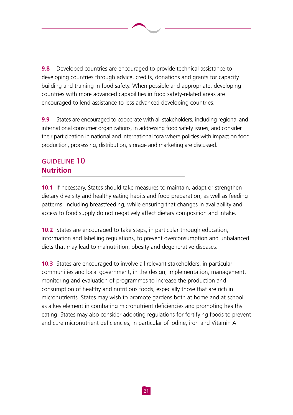**9.8** Developed countries are encouraged to provide technical assistance to developing countries through advice, credits, donations and grants for capacity building and training in food safety. When possible and appropriate, developing countries with more advanced capabilities in food safety-related areas are encouraged to lend assistance to less advanced developing countries.

**9.9** States are encouraged to cooperate with all stakeholders, including regional and international consumer organizations, in addressing food safety issues, and consider their participation in national and international fora where policies with impact on food production, processing, distribution, storage and marketing are discussed.

#### GUIDELINE 10 **Nutrition**

**10.1** If necessary, States should take measures to maintain, adapt or strengthen dietary diversity and healthy eating habits and food preparation, as well as feeding patterns, including breastfeeding, while ensuring that changes in availability and access to food supply do not negatively affect dietary composition and intake.

**10.2** States are encouraged to take steps, in particular through education, information and labelling regulations, to prevent overconsumption and unbalanced diets that may lead to malnutrition, obesity and degenerative diseases.

**10.3** States are encouraged to involve all relevant stakeholders, in particular communities and local government, in the design, implementation, management, monitoring and evaluation of programmes to increase the production and consumption of healthy and nutritious foods, especially those that are rich in micronutrients. States may wish to promote gardens both at home and at school as a key element in combating micronutrient deficiencies and promoting healthy eating. States may also consider adopting regulations for fortifying foods to prevent and cure micronutrient deficiencies, in particular of iodine, iron and Vitamin A.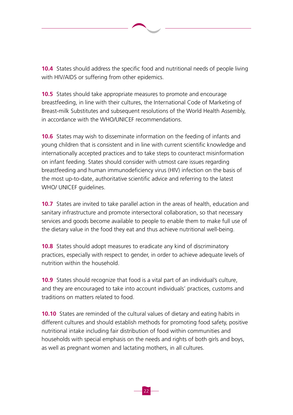**10.4** States should address the specific food and nutritional needs of people living with HIV/AIDS or suffering from other epidemics.

**10.5** States should take appropriate measures to promote and encourage breastfeeding, in line with their cultures, the International Code of Marketing of Breast-milk Substitutes and subsequent resolutions of the World Health Assembly, in accordance with the WHO/UNICEF recommendations.

**10.6** States may wish to disseminate information on the feeding of infants and young children that is consistent and in line with current scientific knowledge and internationally accepted practices and to take steps to counteract misinformation on infant feeding. States should consider with utmost care issues regarding breastfeeding and human immunodeficiency virus (HIV) infection on the basis of the most up-to-date, authoritative scientific advice and referring to the latest WHO/ UNICEF guidelines.

**10.7** States are invited to take parallel action in the areas of health, education and sanitary infrastructure and promote intersectoral collaboration, so that necessary services and goods become available to people to enable them to make full use of the dietary value in the food they eat and thus achieve nutritional well-being.

**10.8** States should adopt measures to eradicate any kind of discriminatory practices, especially with respect to gender, in order to achieve adequate levels of nutrition within the household.

**10.9** States should recognize that food is a vital part of an individual's culture, and they are encouraged to take into account individuals' practices, customs and traditions on matters related to food.

**10.10** States are reminded of the cultural values of dietary and eating habits in different cultures and should establish methods for promoting food safety, positive nutritional intake including fair distribution of food within communities and households with special emphasis on the needs and rights of both girls and boys, as well as pregnant women and lactating mothers, in all cultures.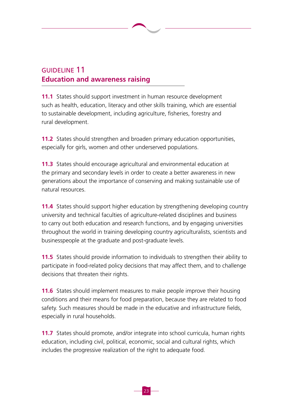#### GUIDELINE 11 **Education and awareness raising**

**11.1** States should support investment in human resource development such as health, education, literacy and other skills training, which are essential to sustainable development, including agriculture, fisheries, forestry and rural development.

**11.2** States should strengthen and broaden primary education opportunities, especially for girls, women and other underserved populations.

**11.3** States should encourage agricultural and environmental education at the primary and secondary levels in order to create a better awareness in new generations about the importance of conserving and making sustainable use of natural resources.

**11.4** States should support higher education by strengthening developing country university and technical faculties of agriculture-related disciplines and business to carry out both education and research functions, and by engaging universities throughout the world in training developing country agriculturalists, scientists and businesspeople at the graduate and post-graduate levels.

**11.5** States should provide information to individuals to strengthen their ability to participate in food-related policy decisions that may affect them, and to challenge decisions that threaten their rights.

**11.6** States should implement measures to make people improve their housing conditions and their means for food preparation, because they are related to food safety. Such measures should be made in the educative and infrastructure fields, especially in rural households.

**11.7** States should promote, and/or integrate into school curricula, human rights education, including civil, political, economic, social and cultural rights, which includes the progressive realization of the right to adequate food.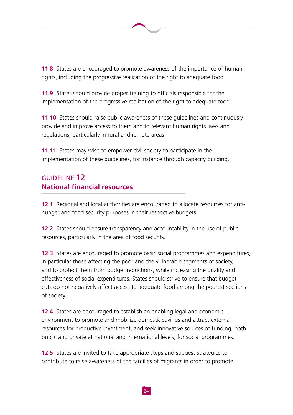**11.8** States are encouraged to promote awareness of the importance of human rights, including the progressive realization of the right to adequate food.

**11.9** States should provide proper training to officials responsible for the implementation of the progressive realization of the right to adequate food.

**11.10** States should raise public awareness of these guidelines and continuously provide and improve access to them and to relevant human rights laws and regulations, particularly in rural and remote areas.

**11.11** States may wish to empower civil society to participate in the implementation of these guidelines, for instance through capacity building.

#### GUIDELINE 12 **National financial resources**

**12.1** Regional and local authorities are encouraged to allocate resources for antihunger and food security purposes in their respective budgets.

**12.2** States should ensure transparency and accountability in the use of public resources, particularly in the area of food security.

**12.3** States are encouraged to promote basic social programmes and expenditures, in particular those affecting the poor and the vulnerable segments of society, and to protect them from budget reductions, while increasing the quality and effectiveness of social expenditures. States should strive to ensure that budget cuts do not negatively affect access to adequate food among the poorest sections of society.

**12.4** States are encouraged to establish an enabling legal and economic environment to promote and mobilize domestic savings and attract external resources for productive investment, and seek innovative sources of funding, both public and private at national and international levels, for social programmes.

**12.5** States are invited to take appropriate steps and suggest strategies to contribute to raise awareness of the families of migrants in order to promote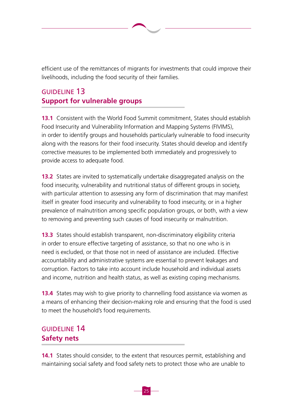efficient use of the remittances of migrants for investments that could improve their livelihoods, including the food security of their families.

#### GUIDELINE 13 **Support for vulnerable groups**

**13.1** Consistent with the World Food Summit commitment, States should establish Food Insecurity and Vulnerability Information and Mapping Systems (FIVIMS), in order to identify groups and households particularly vulnerable to food insecurity along with the reasons for their food insecurity. States should develop and identify corrective measures to be implemented both immediately and progressively to provide access to adequate food.

**13.2** States are invited to systematically undertake disaggregated analysis on the food insecurity, vulnerability and nutritional status of different groups in society, with particular attention to assessing any form of discrimination that may manifest itself in greater food insecurity and vulnerability to food insecurity, or in a higher prevalence of malnutrition among specific population groups, or both, with a view to removing and preventing such causes of food insecurity or malnutrition.

**13.3** States should establish transparent, non-discriminatory eligibility criteria in order to ensure effective targeting of assistance, so that no one who is in need is excluded, or that those not in need of assistance are included. Effective accountability and administrative systems are essential to prevent leakages and corruption. Factors to take into account include household and individual assets and income, nutrition and health status, as well as existing coping mechanisms.

**13.4** States may wish to give priority to channelling food assistance via women as a means of enhancing their decision-making role and ensuring that the food is used to meet the household's food requirements.

#### GUIDELINE 14 **Safety nets**

**14.1** States should consider, to the extent that resources permit, establishing and maintaining social safety and food safety nets to protect those who are unable to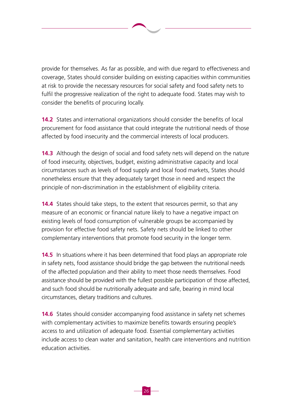provide for themselves. As far as possible, and with due regard to effectiveness and coverage, States should consider building on existing capacities within communities at risk to provide the necessary resources for social safety and food safety nets to fulfil the progressive realization of the right to adequate food. States may wish to consider the benefits of procuring locally.

**14.2** States and international organizations should consider the benefits of local procurement for food assistance that could integrate the nutritional needs of those affected by food insecurity and the commercial interests of local producers.

**14.3** Although the design of social and food safety nets will depend on the nature of food insecurity, objectives, budget, existing administrative capacity and local circumstances such as levels of food supply and local food markets, States should nonetheless ensure that they adequately target those in need and respect the principle of non-discrimination in the establishment of eligibility criteria.

**14.4** States should take steps, to the extent that resources permit, so that any measure of an economic or financial nature likely to have a negative impact on existing levels of food consumption of vulnerable groups be accompanied by provision for effective food safety nets. Safety nets should be linked to other complementary interventions that promote food security in the longer term.

**14.5** In situations where it has been determined that food plays an appropriate role in safety nets, food assistance should bridge the gap between the nutritional needs of the affected population and their ability to meet those needs themselves. Food assistance should be provided with the fullest possible participation of those affected, and such food should be nutritionally adequate and safe, bearing in mind local circumstances, dietary traditions and cultures.

**14.6** States should consider accompanying food assistance in safety net schemes with complementary activities to maximize benefits towards ensuring people's access to and utilization of adequate food. Essential complementary activities include access to clean water and sanitation, health care interventions and nutrition education activities.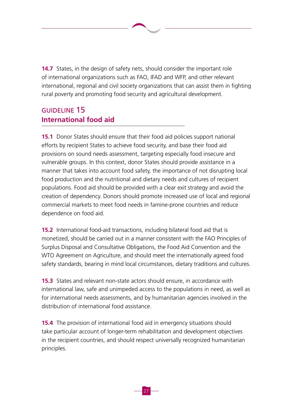**14.7** States, in the design of safety nets, should consider the important role of international organizations such as FAO, IFAD and WFP, and other relevant international, regional and civil society organizations that can assist them in fighting rural poverty and promoting food security and agricultural development.

#### GUIDELINE 15 **International food aid**

**15.1** Donor States should ensure that their food aid policies support national efforts by recipient States to achieve food security, and base their food aid provisions on sound needs assessment, targeting especially food insecure and vulnerable groups. In this context, donor States should provide assistance in a manner that takes into account food safety, the importance of not disrupting local food production and the nutritional and dietary needs and cultures of recipient populations. Food aid should be provided with a clear exit strategy and avoid the creation of dependency. Donors should promote increased use of local and regional commercial markets to meet food needs in famine-prone countries and reduce dependence on food aid.

**15.2** International food-aid transactions, including bilateral food aid that is monetized, should be carried out in a manner consistent with the FAO Principles of Surplus Disposal and Consultative Obligations, the Food Aid Convention and the WTO Agreement on Agriculture, and should meet the internationally agreed food safety standards, bearing in mind local circumstances, dietary traditions and cultures.

**15.3** States and relevant non-state actors should ensure, in accordance with international law, safe and unimpeded access to the populations in need, as well as for international needs assessments, and by humanitarian agencies involved in the distribution of international food assistance.

**15.4** The provision of international food aid in emergency situations should take particular account of longer-term rehabilitation and development objectives in the recipient countries, and should respect universally recognized humanitarian principles.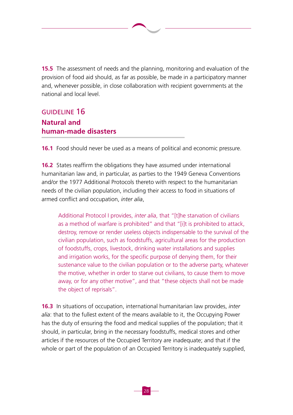**15.5** The assessment of needs and the planning, monitoring and evaluation of the provision of food aid should, as far as possible, be made in a participatory manner and, whenever possible, in close collaboration with recipient governments at the national and local level.

#### GUIDELINE 16 **Natural and human-made disasters**

**16.1** Food should never be used as a means of political and economic pressure.

**16.2** States reaffirm the obligations they have assumed under international humanitarian law and, in particular, as parties to the 1949 Geneva Conventions and/or the 1977 Additional Protocols thereto with respect to the humanitarian needs of the civilian population, including their access to food in situations of armed conflict and occupation, *inter alia*,

Additional Protocol I provides, *inter alia*, that "[t]he starvation of civilians as a method of warfare is prohibited" and that "[i]t is prohibited to attack, destroy, remove or render useless objects indispensable to the survival of the civilian population, such as foodstuffs, agricultural areas for the production of foodstuffs, crops, livestock, drinking water installations and supplies and irrigation works, for the specific purpose of denying them, for their sustenance value to the civilian population or to the adverse party, whatever the motive, whether in order to starve out civilians, to cause them to move away, or for any other motive", and that "these objects shall not be made the object of reprisals".

**16.3** In situations of occupation, international humanitarian law provides, *inter alia*: that to the fullest extent of the means available to it, the Occupying Power has the duty of ensuring the food and medical supplies of the population; that it should, in particular, bring in the necessary foodstuffs, medical stores and other articles if the resources of the Occupied Territory are inadequate; and that if the whole or part of the population of an Occupied Territory is inadequately supplied,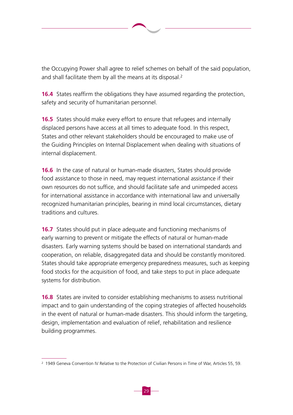

the Occupying Power shall agree to relief schemes on behalf of the said population, and shall facilitate them by all the means at its disposal.2

**16.4** States reaffirm the obligations they have assumed regarding the protection, safety and security of humanitarian personnel.

**16.5** States should make every effort to ensure that refugees and internally displaced persons have access at all times to adequate food. In this respect, States and other relevant stakeholders should be encouraged to make use of the Guiding Principles on Internal Displacement when dealing with situations of internal displacement.

**16.6** In the case of natural or human-made disasters, States should provide food assistance to those in need, may request international assistance if their own resources do not suffice, and should facilitate safe and unimpeded access for international assistance in accordance with international law and universally recognized humanitarian principles, bearing in mind local circumstances, dietary traditions and cultures.

**16.7** States should put in place adequate and functioning mechanisms of early warning to prevent or mitigate the effects of natural or human-made disasters. Early warning systems should be based on international standards and cooperation, on reliable, disaggregated data and should be constantly monitored. States should take appropriate emergency preparedness measures, such as keeping food stocks for the acquisition of food, and take steps to put in place adequate systems for distribution.

**16.8** States are invited to consider establishing mechanisms to assess nutritional impact and to gain understanding of the coping strategies of affected households in the event of natural or human-made disasters. This should inform the targeting, design, implementation and evaluation of relief, rehabilitation and resilience building programmes.

<sup>2</sup> 1949 Geneva Convention IV Relative to the Protection of Civilian Persons in Time of War, Articles 55, 59.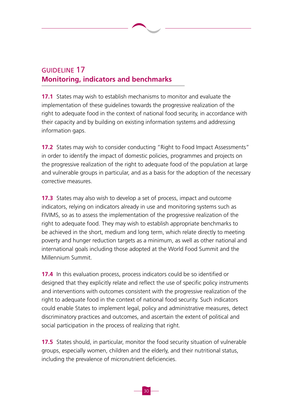#### GUIDELINE 17 **Monitoring, indicators and benchmarks**

**17.1** States may wish to establish mechanisms to monitor and evaluate the implementation of these guidelines towards the progressive realization of the right to adequate food in the context of national food security, in accordance with their capacity and by building on existing information systems and addressing information gaps.

**17.2** States may wish to consider conducting "Right to Food Impact Assessments" in order to identify the impact of domestic policies, programmes and projects on the progressive realization of the right to adequate food of the population at large and vulnerable groups in particular, and as a basis for the adoption of the necessary corrective measures.

**17.3** States may also wish to develop a set of process, impact and outcome indicators, relying on indicators already in use and monitoring systems such as FIVIMS, so as to assess the implementation of the progressive realization of the right to adequate food. They may wish to establish appropriate benchmarks to be achieved in the short, medium and long term, which relate directly to meeting poverty and hunger reduction targets as a minimum, as well as other national and international goals including those adopted at the World Food Summit and the Millennium Summit.

**17.4** In this evaluation process, process indicators could be so identified or designed that they explicitly relate and reflect the use of specific policy instruments and interventions with outcomes consistent with the progressive realization of the right to adequate food in the context of national food security. Such indicators could enable States to implement legal, policy and administrative measures, detect discriminatory practices and outcomes, and ascertain the extent of political and social participation in the process of realizing that right.

**17.5** States should, in particular, monitor the food security situation of vulnerable groups, especially women, children and the elderly, and their nutritional status, including the prevalence of micronutrient deficiencies.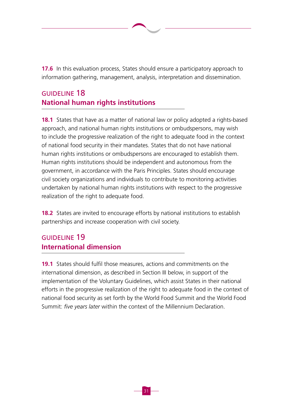**17.6** In this evaluation process, States should ensure a participatory approach to information gathering, management, analysis, interpretation and dissemination.

#### GUIDELINE 18 **National human rights institutions**

**18.1** States that have as a matter of national law or policy adopted a rights-based approach, and national human rights institutions or ombudspersons, may wish to include the progressive realization of the right to adequate food in the context of national food security in their mandates. States that do not have national human rights institutions or ombudspersons are encouraged to establish them. Human rights institutions should be independent and autonomous from the government, in accordance with the Paris Principles. States should encourage civil society organizations and individuals to contribute to monitoring activities undertaken by national human rights institutions with respect to the progressive realization of the right to adequate food.

**18.2** States are invited to encourage efforts by national institutions to establish partnerships and increase cooperation with civil society.

#### GUIDELINE 19 **International dimension**

**19.1** States should fulfil those measures, actions and commitments on the international dimension, as described in Section III below, in support of the implementation of the Voluntary Guidelines, which assist States in their national efforts in the progressive realization of the right to adequate food in the context of national food security as set forth by the World Food Summit and the World Food Summit: *five years later* within the context of the Millennium Declaration.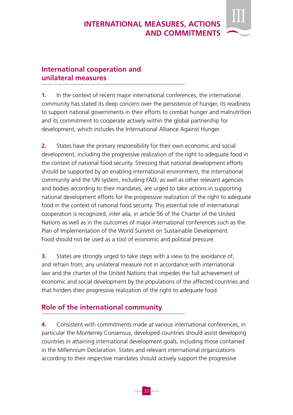## **INTERNATIONAL MEASURES, ACTIONS AND COMMITMENTS**

#### **International cooperation and unilateral measures**

**1.** In the context of recent major international conferences, the international community has stated its deep concern over the persistence of hunger, its readiness to support national governments in their efforts to combat hunger and malnutrition and its commitment to cooperate actively within the global partnership for development, which includes the International Alliance Against Hunger.

**2.** States have the primary responsibility for their own economic and social development, including the progressive realization of the right to adequate food in the context of national food security. Stressing that national development efforts should be supported by an enabling international environment, the international community and the UN system, including FAO, as well as other relevant agencies and bodies according to their mandates, are urged to take actions in supporting national development efforts for the progressive realization of the right to adequate food in the context of national food security. This essential role of international cooperation is recognized, *inter alia*, in article 56 of the Charter of the United Nations as well as in the outcomes of major international conferences such as the Plan of Implementation of the World Summit on Sustainable Development. Food should not be used as a tool of economic and political pressure.

**3.** States are strongly urged to take steps with a view to the avoidance of, and refrain from, any unilateral measure not in accordance with international law and the charter of the United Nations that impedes the full achievement of economic and social development by the populations of the affected countries and that hinders their progressive realization of the right to adequate food.

#### **Role of the international community**

**4.** Consistent with commitments made at various international conferences, in particular the Monterrey Consensus, developed countries should assist developing countries in attaining international development goals, including those contained in the Millennium Declaration. States and relevant international organizations according to their respective mandates should actively support the progressive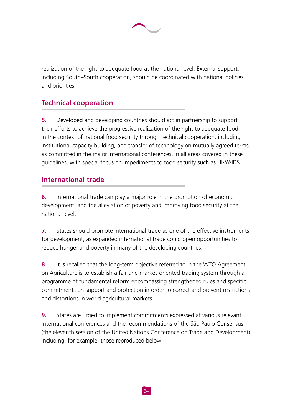realization of the right to adequate food at the national level. External support, including South–South cooperation, should be coordinated with national policies and priorities.

#### **Technical cooperation**

**5.** Developed and developing countries should act in partnership to support their efforts to achieve the progressive realization of the right to adequate food in the context of national food security through technical cooperation, including institutional capacity building, and transfer of technology on mutually agreed terms, as committed in the major international conferences, in all areas covered in these guidelines, with special focus on impediments to food security such as HIV/AIDS.

#### **International trade**

**6.** International trade can play a major role in the promotion of economic development, and the alleviation of poverty and improving food security at the national level.

**7.** States should promote international trade as one of the effective instruments for development, as expanded international trade could open opportunities to reduce hunger and poverty in many of the developing countries.

**8.** It is recalled that the long-term objective referred to in the WTO Agreement on Agriculture is to establish a fair and market-oriented trading system through a programme of fundamental reform encompassing strengthened rules and specific commitments on support and protection in order to correct and prevent restrictions and distortions in world agricultural markets.

**9.** States are urged to implement commitments expressed at various relevant international conferences and the recommendations of the São Paulo Consensus (the eleventh session of the United Nations Conference on Trade and Development) including, for example, those reproduced below: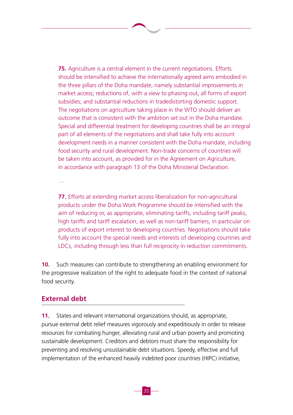**75.** Agriculture is a central element in the current negotiations. Efforts should be intensified to achieve the internationally agreed aims embodied in the three pillars of the Doha mandate, namely substantial improvements in market access; reductions of, with a view to phasing out, all forms of export subsidies; and substantial reductions in tradedistorting domestic support. The negotiations on agriculture taking place in the WTO should deliver an outcome that is consistent with the ambition set out in the Doha mandate. Special and differential treatment for developing countries shall be an integral part of all elements of the negotiations and shall take fully into account development needs in a manner consistent with the Doha mandate, including food security and rural development. Non-trade concerns of countries will be taken into account, as provided for in the Agreement on Agriculture, in accordance with paragraph 13 of the Doha Ministerial Declaration.

…

**77.** Efforts at extending market access liberalization for non-agricultural products under the Doha Work Programme should be intensified with the aim of reducing or, as appropriate, eliminating tariffs, including tariff peaks, high tariffs and tariff escalation, as well as non-tariff barriers, in particular on products of export interest to developing countries. Negotiations should take fully into account the special needs and interests of developing countries and LDCs, including through less than full reciprocity in reduction commitments.

**10.** Such measures can contribute to strengthening an enabling environment for the progressive realization of the right to adequate food in the context of national food security.

#### **External debt**

**11.** States and relevant international organizations should, as appropriate, pursue external debt relief measures vigorously and expeditiously in order to release resources for combating hunger, alleviating rural and urban poverty and promoting sustainable development. Creditors and debtors must share the responsibility for preventing and resolving unsustainable debt situations. Speedy, effective and full implementation of the enhanced heavily indebted poor countries (HIPC) initiative,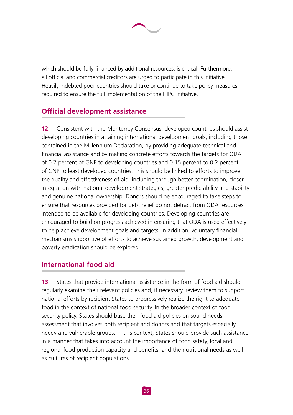which should be fully financed by additional resources, is critical. Furthermore, all official and commercial creditors are urged to participate in this initiative. Heavily indebted poor countries should take or continue to take policy measures required to ensure the full implementation of the HIPC initiative.

#### **Official development assistance**

**12.** Consistent with the Monterrey Consensus, developed countries should assist developing countries in attaining international development goals, including those contained in the Millennium Declaration, by providing adequate technical and financial assistance and by making concrete efforts towards the targets for ODA of 0.7 percent of GNP to developing countries and 0.15 percent to 0.2 percent of GNP to least developed countries. This should be linked to efforts to improve the quality and effectiveness of aid, including through better coordination, closer integration with national development strategies, greater predictability and stability and genuine national ownership. Donors should be encouraged to take steps to ensure that resources provided for debt relief do not detract from ODA resources intended to be available for developing countries. Developing countries are encouraged to build on progress achieved in ensuring that ODA is used effectively to help achieve development goals and targets. In addition, voluntary financial mechanisms supportive of efforts to achieve sustained growth, development and poverty eradication should be explored.

#### **International food aid**

**13.** States that provide international assistance in the form of food aid should regularly examine their relevant policies and, if necessary, review them to support national efforts by recipient States to progressively realize the right to adequate food in the context of national food security. In the broader context of food security policy, States should base their food aid policies on sound needs assessment that involves both recipient and donors and that targets especially needy and vulnerable groups. In this context, States should provide such assistance in a manner that takes into account the importance of food safety, local and regional food production capacity and benefits, and the nutritional needs as well as cultures of recipient populations.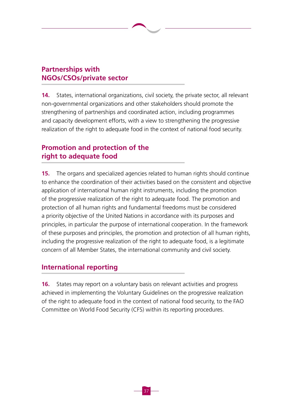#### **Partnerships with NGOs/CSOs/private sector**

**14.** States, international organizations, civil society, the private sector, all relevant non-governmental organizations and other stakeholders should promote the strengthening of partnerships and coordinated action, including programmes and capacity development efforts, with a view to strengthening the progressive realization of the right to adequate food in the context of national food security.

#### **Promotion and protection of the right to adequate food**

**15.** The organs and specialized agencies related to human rights should continue to enhance the coordination of their activities based on the consistent and objective application of international human right instruments, including the promotion of the progressive realization of the right to adequate food. The promotion and protection of all human rights and fundamental freedoms must be considered a priority objective of the United Nations in accordance with its purposes and principles, in particular the purpose of international cooperation. In the framework of these purposes and principles, the promotion and protection of all human rights, including the progressive realization of the right to adequate food, is a legitimate concern of all Member States, the international community and civil society.

#### **International reporting**

**16.** States may report on a voluntary basis on relevant activities and progress achieved in implementing the Voluntary Guidelines on the progressive realization of the right to adequate food in the context of national food security, to the FAO Committee on World Food Security (CFS) within its reporting procedures.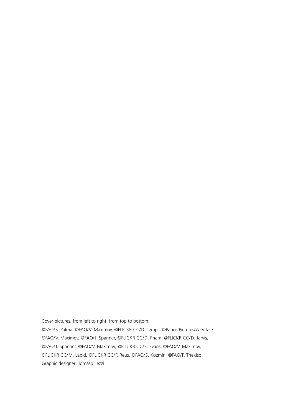Cover pictures, from left to right, from top to bottom: ©FAO/S. Palma, ©FAO/V. Maximov, ©FLICKR CC/D. Temps, ©Panos Pictures/A. Vitale ©FAO/V. Maximov, ©FAO/J. Spanner, ©FLICKR CC/D. Pham, ©FLICKR CC/D. Jarvis, ©FAO/J. Spanner, ©FAO/V. Maximov, ©FLICKR CC/S. Evans, ©FAO/V. Maximov, ©FLICKR CC/M. Lapid, ©FLICKR CC/F. Reus, ©FAO/S. Kozmin, ©FAO/P. Thekiso. Graphic designer: Tomaso Lezzi